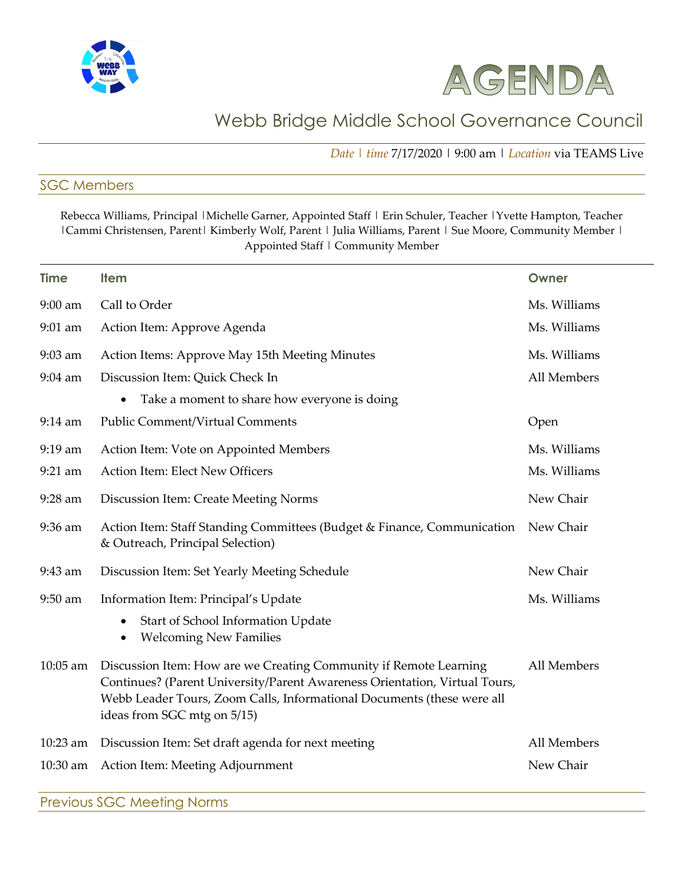



## Webb Bridge Middle School Governance Council

*Date | time* 7/17/2020 | 9:00 am | *Location* via TEAMS Live

## SGC Members

Rebecca Williams, Principal |Michelle Garner, Appointed Staff | Erin Schuler, Teacher |Yvette Hampton, Teacher | Cammi Christensen, Parent | Kimberly Wolf, Parent | Julia Williams, Parent | Sue Moore, Community Member | Appointed Staff | Community Member

| <b>Time</b> | <b>Item</b>                                                                                                                                                                                                                                              | Owner        |
|-------------|----------------------------------------------------------------------------------------------------------------------------------------------------------------------------------------------------------------------------------------------------------|--------------|
| 9:00 am     | Call to Order                                                                                                                                                                                                                                            | Ms. Williams |
| 9:01 am     | Action Item: Approve Agenda                                                                                                                                                                                                                              | Ms. Williams |
| 9:03 am     | Action Items: Approve May 15th Meeting Minutes                                                                                                                                                                                                           | Ms. Williams |
| $9:04$ am   | Discussion Item: Quick Check In                                                                                                                                                                                                                          | All Members  |
|             | Take a moment to share how everyone is doing<br>٠                                                                                                                                                                                                        |              |
| $9:14$ am   | <b>Public Comment/Virtual Comments</b>                                                                                                                                                                                                                   | Open         |
| 9:19 am     | Action Item: Vote on Appointed Members                                                                                                                                                                                                                   | Ms. Williams |
| 9:21 am     | Action Item: Elect New Officers                                                                                                                                                                                                                          | Ms. Williams |
| 9:28 am     | Discussion Item: Create Meeting Norms                                                                                                                                                                                                                    | New Chair    |
| 9:36 am     | Action Item: Staff Standing Committees (Budget & Finance, Communication<br>& Outreach, Principal Selection)                                                                                                                                              | New Chair    |
| 9:43 am     | Discussion Item: Set Yearly Meeting Schedule                                                                                                                                                                                                             | New Chair    |
| 9:50 am     | Information Item: Principal's Update                                                                                                                                                                                                                     | Ms. Williams |
|             | Start of School Information Update<br>$\bullet$<br><b>Welcoming New Families</b><br>$\bullet$                                                                                                                                                            |              |
| $10:05$ am  | Discussion Item: How are we Creating Community if Remote Learning<br>Continues? (Parent University/Parent Awareness Orientation, Virtual Tours,<br>Webb Leader Tours, Zoom Calls, Informational Documents (these were all<br>ideas from SGC mtg on 5/15) | All Members  |
| 10:23 am    | Discussion Item: Set draft agenda for next meeting                                                                                                                                                                                                       | All Members  |
| 10:30 am    | Action Item: Meeting Adjournment                                                                                                                                                                                                                         | New Chair    |

Previous SGC Meeting Norms